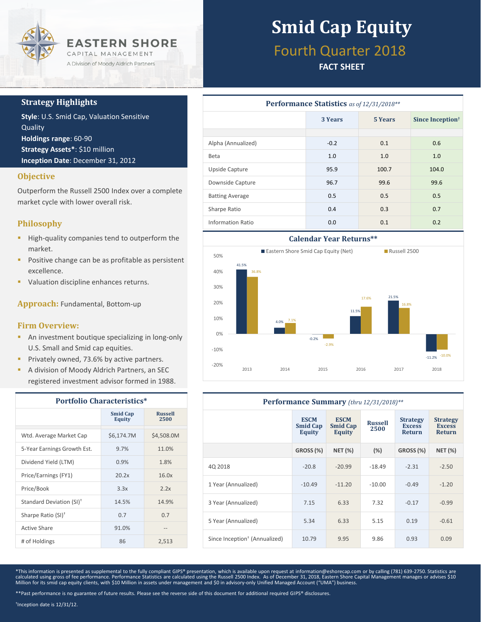

### **Strategy Highlights**

**Style**: U.S. Smid Cap, Valuation Sensitive Quality **Holdings range**: 60-90 **Strategy Assets\***: \$10 million **Inception Date**: December 31, 2012

### **Objective**

Outperform the Russell 2500 Index over a complete market cycle with lower overall risk.

## **Philosophy**

- **High-quality companies tend to outperform the** market.
- **Positive change can be as profitable as persistent** excellence.
- Valuation discipline enhances returns.

**Approach:** Fundamental, Bottom-up

#### **Firm Overview:**

- **An investment boutique specializing in long-only** U.S. Small and Smid cap equities.
- **Privately owned, 73.6% by active partners.**
- A division of Moody Aldrich Partners, an SEC registered investment advisor formed in 1988.

| <b>Portfolio Characteristics*</b>    |                                  |                        |  |  |
|--------------------------------------|----------------------------------|------------------------|--|--|
|                                      | <b>Smid Cap</b><br><b>Equity</b> | <b>Russell</b><br>2500 |  |  |
| Wtd. Average Market Cap              | \$6,174.7M                       | \$4,508.0M             |  |  |
| 5-Year Earnings Growth Est.          | 9.7%                             | 11.0%                  |  |  |
| Dividend Yield (LTM)                 | 0.9%                             | 1.8%                   |  |  |
| Price/Earnings (FY1)                 | 20.2x                            | 16.0x                  |  |  |
| Price/Book                           | 3.3x                             | 2.2x                   |  |  |
| Standard Deviation (SI) <sup>†</sup> | 14.5%                            | 14.9%                  |  |  |
| Sharpe Ratio (SI) <sup>+</sup>       | 0.7                              | 0.7                    |  |  |
| Active Share                         | 91.0%                            | $- -$                  |  |  |
| # of Holdings                        | 86                               | 2,513                  |  |  |

# **Smid Cap Equity**

## Fourth Quarter 2018

## **FACT SHEET**

| <b>Performance Statistics</b> as of 12/31/2018** |                           |       |                              |  |  |
|--------------------------------------------------|---------------------------|-------|------------------------------|--|--|
|                                                  | <b>5 Years</b><br>3 Years |       | Since Inception <sup>†</sup> |  |  |
|                                                  |                           |       |                              |  |  |
| Alpha (Annualized)                               | $-0.2$                    | 0.1   | 0.6                          |  |  |
| <b>Beta</b>                                      | 1.0                       | 1.0   | 1.0                          |  |  |
| Upside Capture                                   | 95.9                      | 100.7 | 104.0                        |  |  |
| Downside Capture                                 | 96.7                      | 99.6  | 99.6                         |  |  |
| <b>Batting Average</b>                           | 0.5                       | 0.5   | 0.5                          |  |  |
| Sharpe Ratio                                     | 0.4                       | 0.3   | 0.7                          |  |  |
| <b>Information Ratio</b>                         | 0.0                       | 0.1   | 0.2                          |  |  |



| Performance Summary (thru 12/31/2018)**   |                                          |                                          |                        |                                                   |                                                   |  |
|-------------------------------------------|------------------------------------------|------------------------------------------|------------------------|---------------------------------------------------|---------------------------------------------------|--|
|                                           | <b>ESCM</b><br><b>Smid Cap</b><br>Equity | <b>ESCM</b><br><b>Smid Cap</b><br>Equity | <b>Russell</b><br>2500 | <b>Strategy</b><br><b>Excess</b><br><b>Return</b> | <b>Strategy</b><br><b>Excess</b><br><b>Return</b> |  |
|                                           | <b>GROSS (%)</b>                         | <b>NET (%)</b>                           | (%)                    | GROSS (%)                                         | <b>NET (%)</b>                                    |  |
| 40 2018                                   | $-20.8$                                  | $-20.99$                                 | $-18.49$               | $-2.31$                                           | $-2.50$                                           |  |
| 1 Year (Annualized)                       | $-10.49$                                 | $-11.20$                                 | $-10.00$               | $-0.49$                                           | $-1.20$                                           |  |
| 3 Year (Annualized)                       | 7.15                                     | 6.33                                     | 7.32                   | $-0.17$                                           | $-0.99$                                           |  |
| 5 Year (Annualized)                       | 5.34                                     | 6.33                                     | 5.15                   | 0.19                                              | $-0.61$                                           |  |
| Since Inception <sup>†</sup> (Annualized) | 10.79                                    | 9.95                                     | 9.86                   | 0.93                                              | 0.09                                              |  |

\*This information is presented as supplemental to the fully compliant GIPS® presentation, which is available upon request at information@eshorecap.com or by calling (781) 639-2750. Statistics are calculated using gross of fee performance. Performance Statistics are calculated using the Russell 2500 Index. As of December 31, 2018, Eastern Shore Capital Management manages or advises \$10<br>Million for its smid cap equit

† Inception date is 12/31/12.